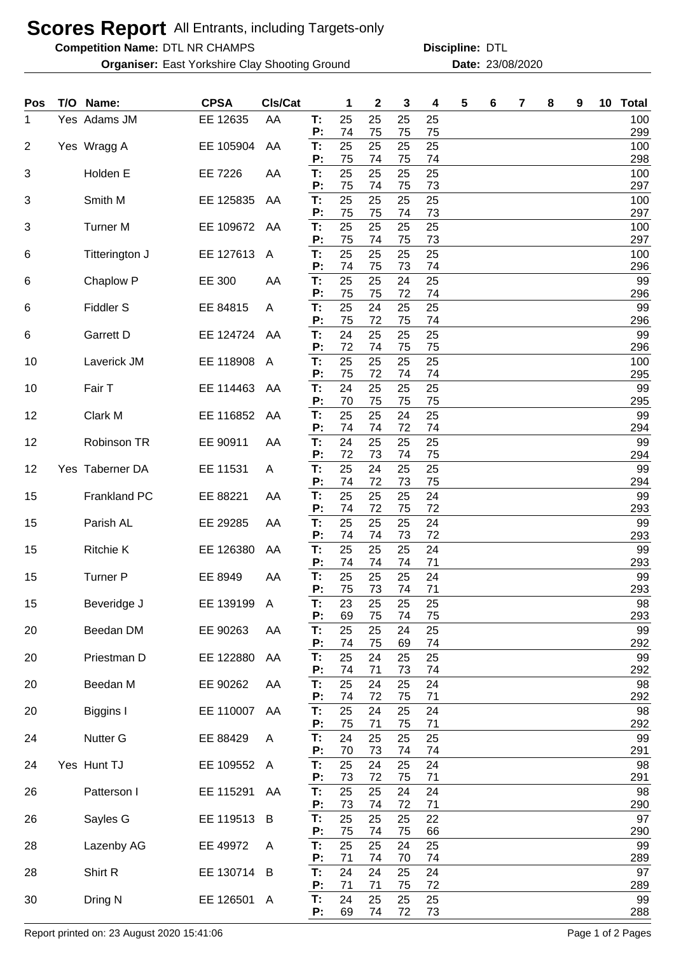## **Scores Report** All Entrants, including Targets-only

**Competition Name: DTL NR CHAMPS COMENT COMPONEY DISCIPLINE: DTL** 

**Organiser:** East Yorkshire Clay Shooting Ground **23/08/2020** Date: 23/08/2020

**Discipline:**

| Pos            | T/O Name:           | <b>CPSA</b> | CIs/Cat      |          | 1        | 2        | 3        | 4        | 5 | 6 | 7 | 8 | 9 | 10 | <b>Total</b> |
|----------------|---------------------|-------------|--------------|----------|----------|----------|----------|----------|---|---|---|---|---|----|--------------|
| 1              | Yes Adams JM        | EE 12635    | AA           | Т:<br>P: | 25<br>74 | 25<br>75 | 25<br>75 | 25<br>75 |   |   |   |   |   |    | 100<br>299   |
| $\overline{2}$ | Yes Wragg A         | EE 105904   | AA           | T:<br>P: | 25<br>75 | 25<br>74 | 25<br>75 | 25<br>74 |   |   |   |   |   |    | 100<br>298   |
| 3              | Holden E            | EE 7226     | AA           | T:<br>P: | 25<br>75 | 25<br>74 | 25<br>75 | 25<br>73 |   |   |   |   |   |    | 100<br>297   |
| 3              | Smith M             | EE 125835   | AA           | T:<br>P: | 25<br>75 | 25<br>75 | 25       | 25<br>73 |   |   |   |   |   |    | 100<br>297   |
| 3              | <b>Turner M</b>     | EE 109672   | AA           | T:       | 25       | 25       | 74<br>25 | 25       |   |   |   |   |   |    | 100          |
| 6              | Titterington J      | EE 127613   | A            | P:<br>T: | 75<br>25 | 74<br>25 | 75<br>25 | 73<br>25 |   |   |   |   |   |    | 297<br>100   |
| 6              | Chaplow P           | EE 300      | AA           | P:<br>Т: | 74<br>25 | 75<br>25 | 73<br>24 | 74<br>25 |   |   |   |   |   |    | 296<br>99    |
| 6              | <b>Fiddler S</b>    | EE 84815    | A            | Р:<br>T: | 75<br>25 | 75<br>24 | 72<br>25 | 74<br>25 |   |   |   |   |   |    | 296<br>99    |
| 6              | <b>Garrett D</b>    | EE 124724   | AA           | P:<br>T: | 75<br>24 | 72<br>25 | 75<br>25 | 74<br>25 |   |   |   |   |   |    | 296<br>99    |
| 10             | Laverick JM         | EE 118908   | A            | P:<br>T: | 72<br>25 | 74<br>25 | 75<br>25 | 75<br>25 |   |   |   |   |   |    | 296<br>100   |
| 10             | Fair T              | EE 114463   | AA           | P:<br>T: | 75<br>24 | 72<br>25 | 74<br>25 | 74<br>25 |   |   |   |   |   |    | 295<br>99    |
| 12             | Clark M             | EE 116852   | AA           | P:<br>T: | 70<br>25 | 75<br>25 | 75<br>24 | 75<br>25 |   |   |   |   |   |    | 295<br>99    |
|                |                     |             |              | P:       | 74<br>24 | 74       | 72       | 74       |   |   |   |   |   |    | 294          |
| 12             | Robinson TR         | EE 90911    | AA           | T:<br>P: | 72       | 25<br>73 | 25<br>74 | 25<br>75 |   |   |   |   |   |    | 99<br>294    |
| 12             | Yes Taberner DA     | EE 11531    | A            | T:<br>P: | 25<br>74 | 24<br>72 | 25<br>73 | 25<br>75 |   |   |   |   |   |    | 99<br>294    |
| 15             | <b>Frankland PC</b> | EE 88221    | AA           | T.<br>P: | 25<br>74 | 25<br>72 | 25<br>75 | 24<br>72 |   |   |   |   |   |    | 99<br>293    |
| 15             | Parish AL           | EE 29285    | AA           | T:<br>P: | 25<br>74 | 25<br>74 | 25<br>73 | 24<br>72 |   |   |   |   |   |    | 99<br>293    |
| 15             | <b>Ritchie K</b>    | EE 126380   | AA           | T:<br>P: | 25<br>74 | 25<br>74 | 25<br>74 | 24<br>71 |   |   |   |   |   |    | 99<br>293    |
| 15             | <b>Turner P</b>     | EE 8949     | AA           | Т:<br>P: | 25<br>75 | 25<br>73 | 25<br>74 | 24<br>71 |   |   |   |   |   |    | 99<br>293    |
| 15             | Beveridge J         | EE 139199   | $\mathsf{A}$ | T:<br>P: | 23<br>69 | 25<br>75 | 25<br>74 | 25<br>75 |   |   |   |   |   |    | 98<br>293    |
| 20             | Beedan DM           | EE 90263    | AA           | T.       | 25       | 25       | 24       | 25       |   |   |   |   |   |    | 99           |
| 20             | Priestman D         | EE 122880   | AA           | P:<br>T: | 74<br>25 | 75<br>24 | 69<br>25 | 74<br>25 |   |   |   |   |   |    | 292<br>99    |
| 20             | Beedan M            | EE 90262    | AA           | P:<br>T: | 74<br>25 | 71<br>24 | 73<br>25 | 74<br>24 |   |   |   |   |   |    | 292<br>98    |
| 20             | Biggins I           | EE 110007   | AA           | P:<br>Т. | 74<br>25 | 72<br>24 | 75<br>25 | 71<br>24 |   |   |   |   |   |    | 292<br>98    |
| 24             | Nutter G            | EE 88429    | A            | P:<br>Т. | 75<br>24 | 71<br>25 | 75<br>25 | 71<br>25 |   |   |   |   |   |    | 292<br>99    |
| 24             | Yes Hunt TJ         | EE 109552   | A            | P:<br>Т. | 70<br>25 | 73<br>24 | 74<br>25 | 74<br>24 |   |   |   |   |   |    | 291<br>98    |
|                |                     |             |              | P:       | 73       | 72       | 75       | 71       |   |   |   |   |   |    | 291          |
| 26             | Patterson I         | EE 115291   | AA           | T.<br>P: | 25<br>73 | 25<br>74 | 24<br>72 | 24<br>71 |   |   |   |   |   |    | 98<br>290    |
| 26             | Sayles G            | EE 119513   | B            | T:<br>P: | 25<br>75 | 25<br>74 | 25<br>75 | 22<br>66 |   |   |   |   |   |    | 97<br>290    |
| 28             | Lazenby AG          | EE 49972    | A            | T.<br>P: | 25<br>71 | 25<br>74 | 24<br>70 | 25<br>74 |   |   |   |   |   |    | 99<br>289    |
| 28             | Shirt R             | EE 130714   | B            | T:<br>P: | 24<br>71 | 24<br>71 | 25<br>75 | 24<br>72 |   |   |   |   |   |    | 97<br>289    |
| 30             | Dring N             | EE 126501 A |              | T.<br>P: | 24<br>69 | 25<br>74 | 25<br>72 | 25<br>73 |   |   |   |   |   |    | 99<br>288    |

Report printed on: 23 August 2020 15:41:06 Page 1 of 2 Pages